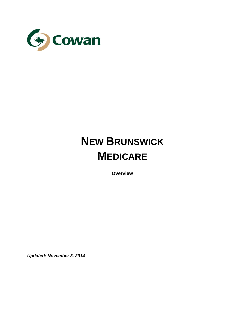

# **NEW BRUNSWICK MEDICARE**

**Overview**

*Updated: November 3, 2014*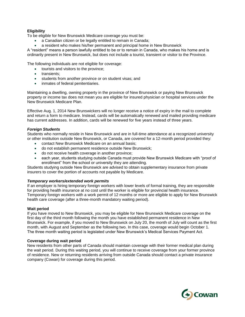# **Eligibility**

To be eligible for New Brunswick Medicare coverage you must be:

- a Canadian citizen or be legally entitled to remain in Canada;
- a resident who makes his/her permanent and principal home in New Brunswick

A "resident" means a person lawfully entitled to be or to remain in Canada, who makes his home and is ordinarily present in New Brunswick, but does not include a tourist, transient or visitor to the Province.

The following individuals are not eligible for coverage:

- tourists and visitors to the province;
- transients;
- students from another province or on student visas; and
- inmates of federal penitentiaries.

Maintaining a dwelling, owning property in the province of New Brunswick or paying New Brunswick property or income tax does not mean you are eligible for insured physician or hospital services under the New Brunswick Medicare Plan.

Effective Aug. 1, 2014 New Brunswickers will no longer receive a notice of expiry in the mail to complete and return a form to medicare. Instead, cards will be automatically renewed and mailed providing medicare has current addresses. In addition, cards will be renewed for five years instead of three years.

# *Foreign Students*

Students who normally reside in New Brunswick and are in full-time attendance at a recognized university or other institution outside New Brunswick, or Canada, are covered for a 12-month period provided they:

- contact New Brunswick Medicare on an annual basis;
- do not establish permanent residence outside New Brunswick;
- do not receive health coverage in another province;
- each year, students studying outside Canada must provide New Brunswick Medicare with "proof of enrollment" from the school or university they are attending.

Students studying outside New Brunswick are advised to obtain supplementary insurance from private insurers to cover the portion of accounts not payable by Medicare.

# *Temporary workers/extended work permits*

If an employer is hiring temporary foreign workers with lower levels of formal training, they are responsible for providing health insurance at no cost until the worker is eligible for provincial health insurance. Temporary foreign workers with a work permit of 12 months or more are eligible to apply for New Brunswick health care coverage (after a three-month mandatory waiting period).

# **Wait period**

If you have moved to New Brunswick, you may be eligible for New Brunswick Medicare coverage on the first day of the third month following the month you have established permanent residence in New Brunswick. For example, if you moved to New Brunswick on July 20, the month of July will count as the first month, with August and September as the following two. In this case, coverage would begin October 1. The three month waiting period is legislated under New Brunswick's Medical Services Payment Act.

# **Coverage during wait period**

New residents from other parts of Canada should maintain coverage with their former medical plan during the wait period. During this waiting period, you will continue to receive coverage from your former province of residence. New or returning residents arriving from outside Canada should contact a private insurance company (Cowan) for coverage during this period.

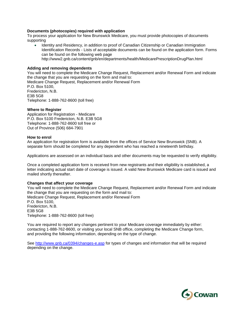# **Documents (photocopies) required with application**

To process your application for New Brunswick Medicare, you must provide photocopies of documents supporting

 Identity and Residency, in addition to proof of Canadian Citizenship or Canadian Immigration Identification Records - Lists of acceptable documents can be found on the application form. Forms can be found on the following web page http://www2.gnb.ca/content/gnb/en/departments/health/MedicarePrescriptionDrugPlan.html

# **Adding and removing dependents**

You will need to complete the Medicare Change Request, Replacement and/or Renewal Form and indicate the change that you are requesting on the form and mail to:

Medicare Change Request, Replacement and/or Renewal Form P.O. Box 5100, Fredericton, N.B. E3B 5G8 Telephone: 1-888-762-8600 (toll free)

# **Where to Register**

Application for Registration - Medicare P.O. Box 5100 Fredericton, N.B. E3B 5G8 Telephone: 1-888-762-8600 toll free or Out of Province (506) 684-7901

#### **How to enrol**

An application for registration form is available from the offices of Service New Brunswick (SNB). A separate form should be completed for any dependent who has reached a nineteenth birthday.

Applications are assessed on an individual basis and other documents may be requested to verify eligibility.

Once a completed application form is received from new registrants and their eligibility is established, a letter indicating actual start date of coverage is issued. A valid New Brunswick Medicare card is issued and mailed shortly thereafter.

# **Changes that affect your coverage**

You will need to complete the Medicare Change Request, Replacement and/or Renewal Form and indicate the change that you are requesting on the form and mail to: Medicare Change Request, Replacement and/or Renewal Form P.O. Box 5100, Fredericton, N.B. E3B 5G8 Telephone: 1-888-762-8600 (toll free)

You are required to report any changes pertinent to your Medicare coverage immediately by either: contacting 1-888-762-8600, or visiting your local SNB office, completing the Medicare Change form, and providing the following information, depending on the type of change.

See<http://www.gnb.ca/0394/changes-e.asp> for types of changes and information that will be required depending on the change.

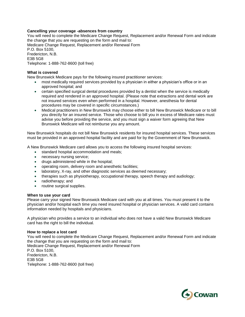# **Cancelling your coverage -absences from country**

You will need to complete the Medicare Change Request, Replacement and/or Renewal Form and indicate the change that you are requesting on the form and mail to: Medicare Change Request, Replacement and/or Renewal Form P.O. Box 5100, Fredericton, N.B. E3B 5G8 Telephone: 1-888-762-8600 (toll free)

# **What is covered**

New Brunswick Medicare pays for the following insured practitioner services:

- most medically required services provided by a physician in either a physician's office or in an approved hospital; and
- certain specified surgical dental procedures provided by a dentist when the service is medically required and rendered in an approved hospital. (Please note that extractions and dental work are not insured services even when performed in a hospital. However, anesthesia for dental procedures may be covered in specific circumstances.)
- Medical practitioners in New Brunswick may choose either to bill New Brunswick Medicare or to bill you directly for an insured service. Those who choose to bill you in excess of Medicare rates must advise you before providing the service, and you must sign a waiver form agreeing that New Brunswick Medicare will not reimburse you any amount.

New Brunswick hospitals do not bill New Brunswick residents for insured hospital services. These services must be provided in an approved hospital facility and are paid for by the Government of New Brunswick.

A New Brunswick Medicare card allows you to access the following insured hospital services:

- standard hospital accommodation and meals;
- necessary nursing service;
- drugs administered while in the hospital;
- operating room, delivery room and anesthetic facilities;
- laboratory, X-ray, and other diagnostic services as deemed necessary;
- therapies such as physiotherapy, occupational therapy, speech therapy and audiology;
- radiotherapy; and
- routine surgical supplies.

# **When to use your card**

Please carry your signed New Brunswick Medicare card with you at all times. You must present it to the physician and/or hospital each time you need insured hospital or physician services. A valid card contains information needed by hospitals and physicians.

A physician who provides a service to an individual who does not have a valid New Brunswick Medicare card has the right to bill the individual.

# **How to replace a lost card**

You will need to complete the Medicare Change Request, Replacement and/or Renewal Form and indicate the change that you are requesting on the form and mail to: Medicare Change Request, Replacement and/or Renewal Form P.O. Box 5100, Fredericton, N.B. E3B 5G8 Telephone: 1-888-762-8600 (toll free)